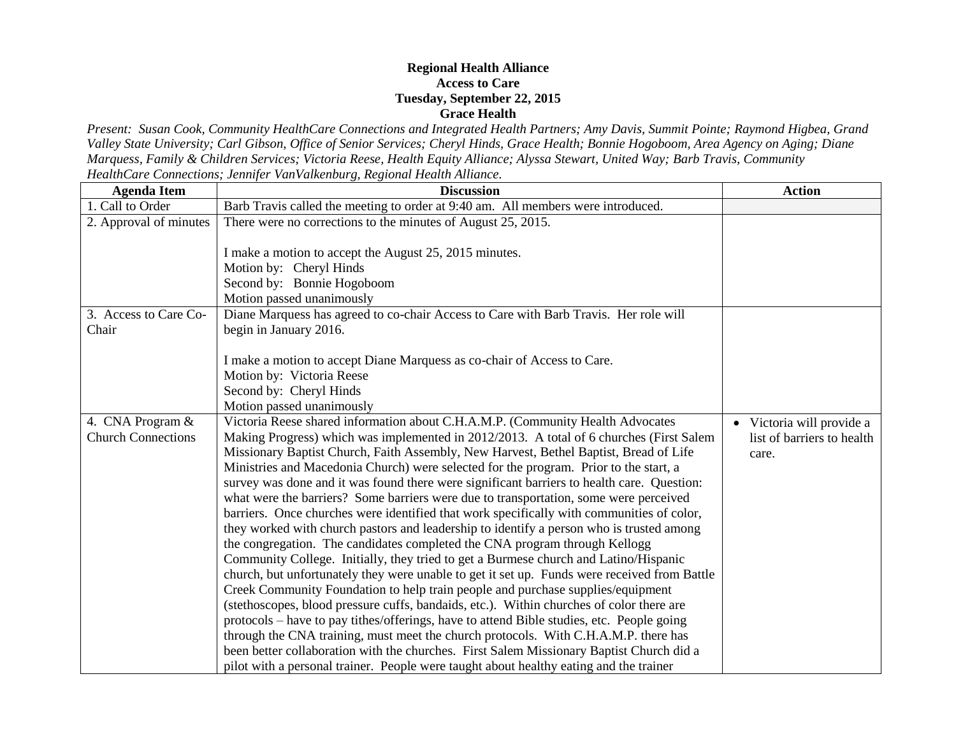## **Regional Health Alliance Access to Care Tuesday, September 22, 2015 Grace Health**

*Present: Susan Cook, Community HealthCare Connections and Integrated Health Partners; Amy Davis, Summit Pointe; Raymond Higbea, Grand Valley State University; Carl Gibson, Office of Senior Services; Cheryl Hinds, Grace Health; Bonnie Hogoboom, Area Agency on Aging; Diane Marquess, Family & Children Services; Victoria Reese, Health Equity Alliance; Alyssa Stewart, United Way; Barb Travis, Community HealthCare Connections; Jennifer VanValkenburg, Regional Health Alliance.*

| <b>Agenda Item</b>        | <b>Discussion</b>                                                                            | <b>Action</b>              |
|---------------------------|----------------------------------------------------------------------------------------------|----------------------------|
| 1. Call to Order          | Barb Travis called the meeting to order at 9:40 am. All members were introduced.             |                            |
| 2. Approval of minutes    | There were no corrections to the minutes of August 25, 2015.                                 |                            |
|                           |                                                                                              |                            |
|                           | I make a motion to accept the August 25, 2015 minutes.                                       |                            |
|                           | Motion by: Cheryl Hinds                                                                      |                            |
|                           | Second by: Bonnie Hogoboom                                                                   |                            |
|                           | Motion passed unanimously                                                                    |                            |
| 3. Access to Care Co-     | Diane Marquess has agreed to co-chair Access to Care with Barb Travis. Her role will         |                            |
| Chair                     | begin in January 2016.                                                                       |                            |
|                           |                                                                                              |                            |
|                           | I make a motion to accept Diane Marquess as co-chair of Access to Care.                      |                            |
|                           | Motion by: Victoria Reese                                                                    |                            |
|                           | Second by: Cheryl Hinds                                                                      |                            |
|                           | Motion passed unanimously                                                                    |                            |
| 4. CNA Program &          | Victoria Reese shared information about C.H.A.M.P. (Community Health Advocates               | • Victoria will provide a  |
| <b>Church Connections</b> | Making Progress) which was implemented in 2012/2013. A total of 6 churches (First Salem      | list of barriers to health |
|                           | Missionary Baptist Church, Faith Assembly, New Harvest, Bethel Baptist, Bread of Life        | care.                      |
|                           | Ministries and Macedonia Church) were selected for the program. Prior to the start, a        |                            |
|                           | survey was done and it was found there were significant barriers to health care. Question:   |                            |
|                           | what were the barriers? Some barriers were due to transportation, some were perceived        |                            |
|                           | barriers. Once churches were identified that work specifically with communities of color,    |                            |
|                           | they worked with church pastors and leadership to identify a person who is trusted among     |                            |
|                           | the congregation. The candidates completed the CNA program through Kellogg                   |                            |
|                           | Community College. Initially, they tried to get a Burmese church and Latino/Hispanic         |                            |
|                           | church, but unfortunately they were unable to get it set up. Funds were received from Battle |                            |
|                           | Creek Community Foundation to help train people and purchase supplies/equipment              |                            |
|                           | (stethoscopes, blood pressure cuffs, bandaids, etc.). Within churches of color there are     |                            |
|                           | protocols - have to pay tithes/offerings, have to attend Bible studies, etc. People going    |                            |
|                           | through the CNA training, must meet the church protocols. With C.H.A.M.P. there has          |                            |
|                           | been better collaboration with the churches. First Salem Missionary Baptist Church did a     |                            |
|                           | pilot with a personal trainer. People were taught about healthy eating and the trainer       |                            |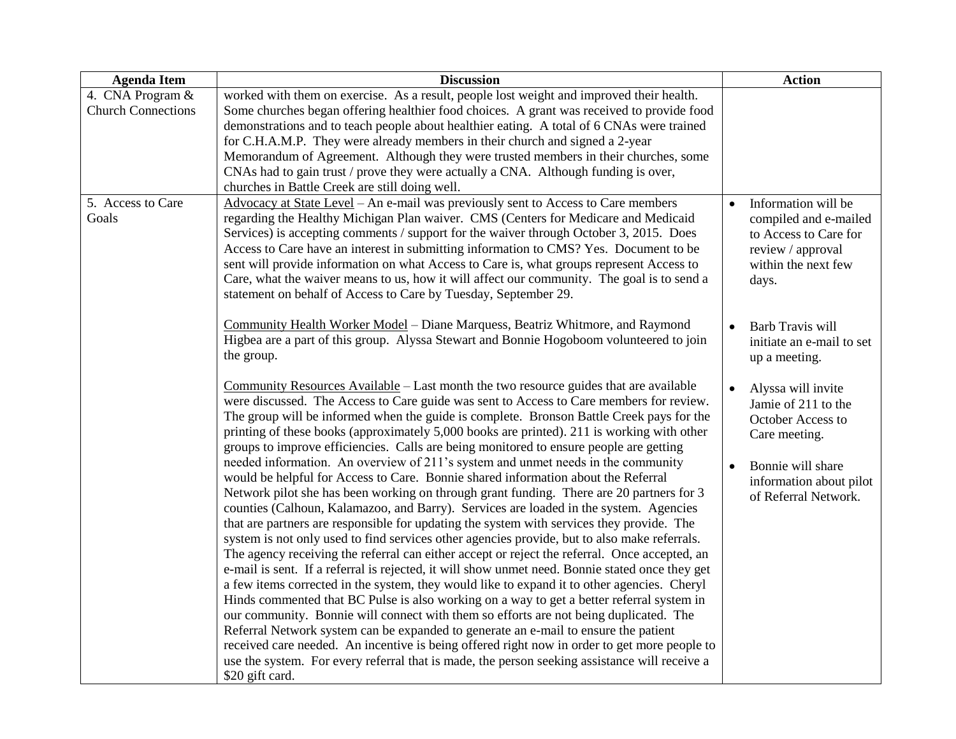| worked with them on exercise. As a result, people lost weight and improved their health.                                                                                                                                                                                                                                                                                                                                                                                                                                                                                                                                                                                                                                                                                                                                                                                                                                                                                                                                                                                                                                                                                                                                                             |                        |                                                                                                                            |
|------------------------------------------------------------------------------------------------------------------------------------------------------------------------------------------------------------------------------------------------------------------------------------------------------------------------------------------------------------------------------------------------------------------------------------------------------------------------------------------------------------------------------------------------------------------------------------------------------------------------------------------------------------------------------------------------------------------------------------------------------------------------------------------------------------------------------------------------------------------------------------------------------------------------------------------------------------------------------------------------------------------------------------------------------------------------------------------------------------------------------------------------------------------------------------------------------------------------------------------------------|------------------------|----------------------------------------------------------------------------------------------------------------------------|
| Some churches began offering healthier food choices. A grant was received to provide food<br>demonstrations and to teach people about healthier eating. A total of 6 CNAs were trained<br>for C.H.A.M.P. They were already members in their church and signed a 2-year<br>Memorandum of Agreement. Although they were trusted members in their churches, some<br>CNAs had to gain trust / prove they were actually a CNA. Although funding is over,<br>churches in Battle Creek are still doing well.                                                                                                                                                                                                                                                                                                                                                                                                                                                                                                                                                                                                                                                                                                                                                |                        |                                                                                                                            |
| Advocacy at State Level - An e-mail was previously sent to Access to Care members<br>regarding the Healthy Michigan Plan waiver. CMS (Centers for Medicare and Medicaid<br>Services) is accepting comments / support for the waiver through October 3, 2015. Does<br>Access to Care have an interest in submitting information to CMS? Yes. Document to be<br>sent will provide information on what Access to Care is, what groups represent Access to<br>Care, what the waiver means to us, how it will affect our community. The goal is to send a<br>statement on behalf of Access to Care by Tuesday, September 29.                                                                                                                                                                                                                                                                                                                                                                                                                                                                                                                                                                                                                              | $\bullet$              | Information will be<br>compiled and e-mailed<br>to Access to Care for<br>review / approval<br>within the next few<br>days. |
| Community Health Worker Model - Diane Marquess, Beatriz Whitmore, and Raymond<br>Higbea are a part of this group. Alyssa Stewart and Bonnie Hogoboom volunteered to join<br>the group.                                                                                                                                                                                                                                                                                                                                                                                                                                                                                                                                                                                                                                                                                                                                                                                                                                                                                                                                                                                                                                                               | $\bullet$              | Barb Travis will<br>initiate an e-mail to set<br>up a meeting.                                                             |
| Community Resources Available – Last month the two resource guides that are available<br>were discussed. The Access to Care guide was sent to Access to Care members for review.<br>The group will be informed when the guide is complete. Bronson Battle Creek pays for the<br>printing of these books (approximately 5,000 books are printed). 211 is working with other<br>groups to improve efficiencies. Calls are being monitored to ensure people are getting<br>needed information. An overview of 211's system and unmet needs in the community                                                                                                                                                                                                                                                                                                                                                                                                                                                                                                                                                                                                                                                                                             | $\bullet$<br>$\bullet$ | Alyssa will invite<br>Jamie of 211 to the<br>October Access to<br>Care meeting.<br>Bonnie will share                       |
| would be helpful for Access to Care. Bonnie shared information about the Referral<br>Network pilot she has been working on through grant funding. There are 20 partners for 3<br>counties (Calhoun, Kalamazoo, and Barry). Services are loaded in the system. Agencies<br>that are partners are responsible for updating the system with services they provide. The<br>system is not only used to find services other agencies provide, but to also make referrals.<br>The agency receiving the referral can either accept or reject the referral. Once accepted, an<br>e-mail is sent. If a referral is rejected, it will show unmet need. Bonnie stated once they get<br>a few items corrected in the system, they would like to expand it to other agencies. Cheryl<br>Hinds commented that BC Pulse is also working on a way to get a better referral system in<br>our community. Bonnie will connect with them so efforts are not being duplicated. The<br>Referral Network system can be expanded to generate an e-mail to ensure the patient<br>received care needed. An incentive is being offered right now in order to get more people to<br>use the system. For every referral that is made, the person seeking assistance will receive a |                        | information about pilot<br>of Referral Network.                                                                            |
|                                                                                                                                                                                                                                                                                                                                                                                                                                                                                                                                                                                                                                                                                                                                                                                                                                                                                                                                                                                                                                                                                                                                                                                                                                                      | \$20 gift card.        |                                                                                                                            |